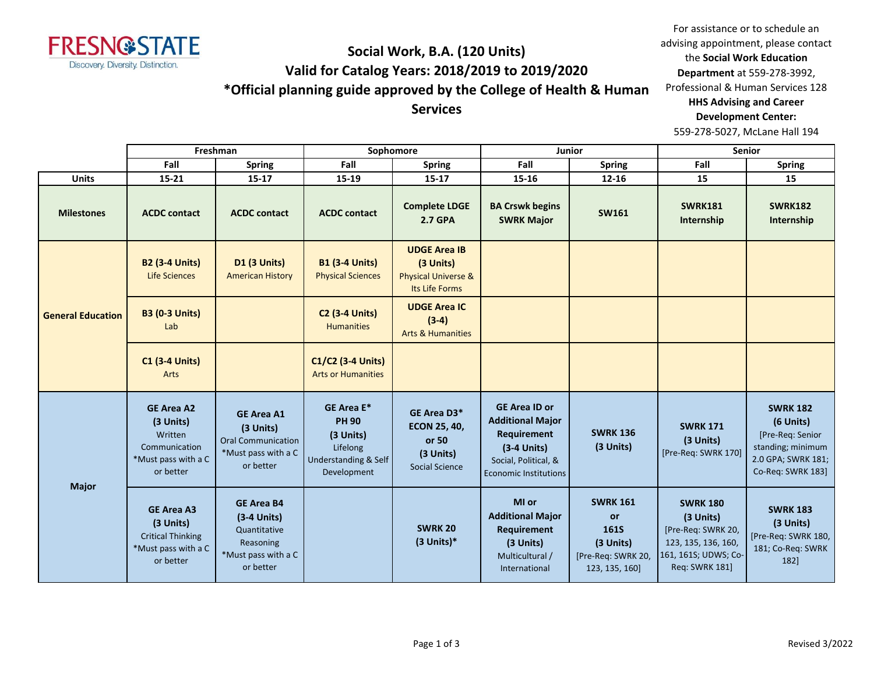

#### **Social Work, B.A. (120 Units) Valid for Catalog Years: 2018/2019 to 2019/2020 \*Official planning guide approved by the College of Health & Human Services**

For assistance or to schedule an advising appointment, please contact the **Social Work Education Department** at 559-278-3992, Professional & Human Services 128 **HHS Advising and Career Development Center:**  559-278-5027, McLane Hall 194

|                          |                                                                                                | Freshman                                                                                            |                                                                                                              | Sophomore                                                                            |                                                                                                                                         | Junior                                                                                    |                                                                                                                     | <b>Senior</b>                                                                                                    |
|--------------------------|------------------------------------------------------------------------------------------------|-----------------------------------------------------------------------------------------------------|--------------------------------------------------------------------------------------------------------------|--------------------------------------------------------------------------------------|-----------------------------------------------------------------------------------------------------------------------------------------|-------------------------------------------------------------------------------------------|---------------------------------------------------------------------------------------------------------------------|------------------------------------------------------------------------------------------------------------------|
|                          | Fall                                                                                           | <b>Spring</b>                                                                                       | Fall                                                                                                         | <b>Spring</b>                                                                        | Fall                                                                                                                                    | <b>Spring</b>                                                                             | Fall                                                                                                                | <b>Spring</b>                                                                                                    |
| <b>Units</b>             | $15 - 21$                                                                                      | $15 - 17$                                                                                           | 15-19                                                                                                        | $15 - 17$                                                                            | $15 - 16$                                                                                                                               | $12 - 16$                                                                                 | 15                                                                                                                  | 15                                                                                                               |
| <b>Milestones</b>        | <b>ACDC contact</b>                                                                            | <b>ACDC</b> contact                                                                                 | <b>ACDC</b> contact                                                                                          | <b>Complete LDGE</b><br><b>2.7 GPA</b>                                               | <b>BA Crswk begins</b><br><b>SWRK Major</b>                                                                                             | <b>SW161</b>                                                                              | <b>SWRK181</b><br>Internship                                                                                        | <b>SWRK182</b><br>Internship                                                                                     |
| <b>General Education</b> | <b>B2 (3-4 Units)</b><br><b>Life Sciences</b>                                                  | <b>D1 (3 Units)</b><br><b>American History</b>                                                      | <b>B1 (3-4 Units)</b><br><b>Physical Sciences</b>                                                            | <b>UDGE Area IB</b><br>(3 Units)<br><b>Physical Universe &amp;</b><br>Its Life Forms |                                                                                                                                         |                                                                                           |                                                                                                                     |                                                                                                                  |
|                          | <b>B3 (0-3 Units)</b><br>Lab                                                                   |                                                                                                     | <b>C2 (3-4 Units)</b><br><b>Humanities</b>                                                                   | <b>UDGE Area IC</b><br>$(3-4)$<br><b>Arts &amp; Humanities</b>                       |                                                                                                                                         |                                                                                           |                                                                                                                     |                                                                                                                  |
|                          | <b>C1 (3-4 Units)</b><br>Arts                                                                  |                                                                                                     | C1/C2 (3-4 Units)<br><b>Arts or Humanities</b>                                                               |                                                                                      |                                                                                                                                         |                                                                                           |                                                                                                                     |                                                                                                                  |
|                          | <b>GE Area A2</b><br>(3 Units)<br>Written<br>Communication<br>*Must pass with a C<br>or better | <b>GE Area A1</b><br>(3 Units)<br><b>Oral Communication</b><br>*Must pass with a C<br>or better     | <b>GE Area E*</b><br><b>PH 90</b><br>(3 Units)<br>Lifelong<br><b>Understanding &amp; Self</b><br>Development | GE Area D3*<br><b>ECON 25, 40,</b><br>or 50<br>(3 Units)<br><b>Social Science</b>    | <b>GE Area ID or</b><br><b>Additional Major</b><br>Requirement<br>$(3-4$ Units)<br>Social, Political, &<br><b>Economic Institutions</b> | <b>SWRK 136</b><br>(3 Units)                                                              | <b>SWRK 171</b><br>(3 Units)<br>[Pre-Req: SWRK 170]                                                                 | <b>SWRK 182</b><br>(6 Units)<br>[Pre-Req: Senior<br>standing; minimum<br>2.0 GPA; SWRK 181;<br>Co-Req: SWRK 183] |
| <b>Major</b>             | <b>GE Area A3</b><br>(3 Units)<br><b>Critical Thinking</b><br>*Must pass with a C<br>or better | <b>GE Area B4</b><br>$(3-4$ Units)<br>Quantitative<br>Reasoning<br>*Must pass with a C<br>or better |                                                                                                              | <b>SWRK 20</b><br>$(3$ Units)*                                                       | MI or<br><b>Additional Major</b><br>Requirement<br>(3 Units)<br>Multicultural /<br>International                                        | <b>SWRK 161</b><br>or<br><b>161S</b><br>(3 Units)<br>[Pre-Req: SWRK 20,<br>123, 135, 160] | <b>SWRK 180</b><br>(3 Units)<br>[Pre-Req: SWRK 20,<br>123, 135, 136, 160,<br>161, 161S; UDWS; Co-<br>Req: SWRK 181] | <b>SWRK 183</b><br>(3 Units)<br>[Pre-Req: SWRK 180,<br>181; Co-Req: SWRK<br>182]                                 |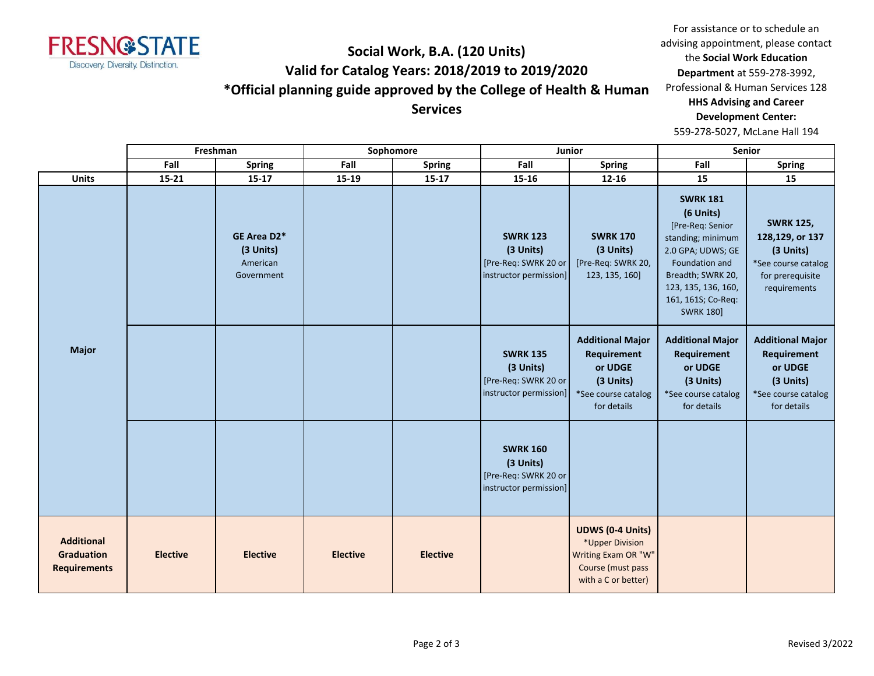

#### **Social Work, B.A. (120 Units) Valid for Catalog Years: 2018/2019 to 2019/2020 \*Official planning guide approved by the College of Health & Human Services**

For assistance or to schedule an advising appointment, please contact the **Social Work Education Department** at 559-278-3992, Professional & Human Services 128 **HHS Advising and Career Development Center:**  559-278-5027, McLane Hall 194

|                                                               |                 | Freshman                                           |                 | Sophomore       | Junior                                                                         |                                                                                                               |                                                                                                                                                                                                    | Senior                                                                                                      |
|---------------------------------------------------------------|-----------------|----------------------------------------------------|-----------------|-----------------|--------------------------------------------------------------------------------|---------------------------------------------------------------------------------------------------------------|----------------------------------------------------------------------------------------------------------------------------------------------------------------------------------------------------|-------------------------------------------------------------------------------------------------------------|
|                                                               | Fall            | <b>Spring</b>                                      | Fall            | <b>Spring</b>   | Fall                                                                           | <b>Spring</b>                                                                                                 | Fall                                                                                                                                                                                               | Spring                                                                                                      |
| <b>Units</b>                                                  | 15-21           | $15 - 17$                                          | 15-19           | $15 - 17$       | 15-16                                                                          | 12-16                                                                                                         | 15                                                                                                                                                                                                 | 15                                                                                                          |
| <b>Major</b>                                                  |                 | GE Area D2*<br>(3 Units)<br>American<br>Government |                 |                 | <b>SWRK 123</b><br>(3 Units)<br>[Pre-Req: SWRK 20 or<br>instructor permission] | <b>SWRK 170</b><br>(3 Units)<br>[Pre-Req: SWRK 20,<br>123, 135, 160]                                          | <b>SWRK 181</b><br>(6 Units)<br>[Pre-Req: Senior<br>standing; minimum<br>2.0 GPA; UDWS; GE<br>Foundation and<br>Breadth; SWRK 20,<br>123, 135, 136, 160,<br>161, 161S; Co-Req:<br><b>SWRK 180]</b> | <b>SWRK 125,</b><br>128,129, or 137<br>(3 Units)<br>*See course catalog<br>for prerequisite<br>requirements |
|                                                               |                 |                                                    |                 |                 | <b>SWRK 135</b><br>(3 Units)<br>[Pre-Req: SWRK 20 or<br>instructor permission] | <b>Additional Major</b><br><b>Requirement</b><br>or UDGE<br>(3 Units)<br>*See course catalog<br>for details   | <b>Additional Major</b><br>Requirement<br>or UDGE<br>(3 Units)<br>*See course catalog<br>for details                                                                                               | <b>Additional Major</b><br>Requirement<br>or UDGE<br>(3 Units)<br>*See course catalog<br>for details        |
|                                                               |                 |                                                    |                 |                 | <b>SWRK 160</b><br>(3 Units)<br>[Pre-Req: SWRK 20 or<br>instructor permission] |                                                                                                               |                                                                                                                                                                                                    |                                                                                                             |
| <b>Additional</b><br><b>Graduation</b><br><b>Requirements</b> | <b>Elective</b> | <b>Elective</b>                                    | <b>Elective</b> | <b>Elective</b> |                                                                                | <b>UDWS (0-4 Units)</b><br>*Upper Division<br>Writing Exam OR "W"<br>Course (must pass<br>with a C or better) |                                                                                                                                                                                                    |                                                                                                             |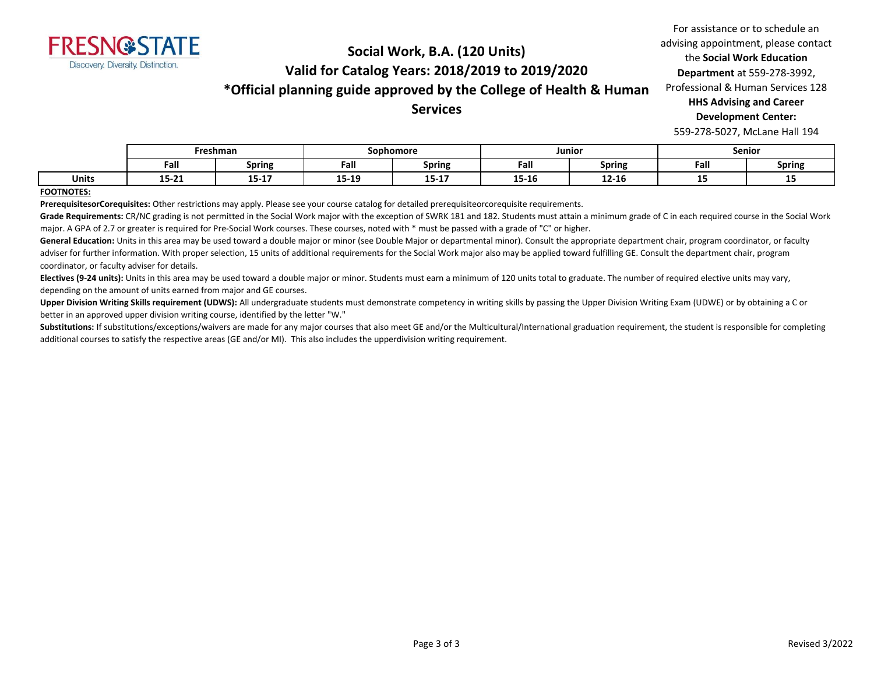

## **Social Work, B.A. (120 Units) Valid for Catalog Years: 2018/2019 to 2019/2020 \*Official planning guide approved by the College of Health & Human**

**Services**

For assistance or to schedule an advising appointment, please contact the **Social Work Education Department** at 559-278-3992, Professional & Human Services 128 **HHS Advising and Career Development Center:**  559-278-5027, McLane Hall 194

|       | Freshman          |               | Sophomore |                    | Junior    |               | <b>Senior</b> |               |
|-------|-------------------|---------------|-----------|--------------------|-----------|---------------|---------------|---------------|
|       | Fall              | <b>Spring</b> | Fall      | <b>Spring</b>      | Fall      | <b>Spring</b> | Fall          | <b>Spring</b> |
| Units | 1 P. 34.<br>TJ-TT | $15 - 17$     | 15-19     | 4 E. 4 T<br>15-T V | $15 - 16$ | $12 - 16$     | --            | --            |

**FOOTNOTES:**

**PrerequisitesorCorequisites:** Other restrictions may apply. Please see your course catalog for detailed prerequisiteorcorequisite requirements.

Grade Requirements: CR/NC grading is not permitted in the Social Work major with the exception of SWRK 181 and 182. Students must attain a minimum grade of C in each required course in the Social Work major. A GPA of 2.7 or greater is required for Pre-Social Work courses. These courses, noted with \* must be passed with a grade of "C" or higher.

General Education: Units in this area may be used toward a double major or minor (see Double Major or departmental minor). Consult the appropriate department chair, program coordinator, or faculty adviser for further information. With proper selection, 15 units of additional requirements for the Social Work major also may be applied toward fulfilling GE. Consult the department chair, program coordinator, or faculty adviser for details.

**Electives (9-24 units):** Units in this area may be used toward a double major or minor. Students must earn a minimum of 120 units total to graduate. The number of required elective units may vary, depending on the amount of units earned from major and GE courses.

Upper Division Writing Skills requirement (UDWS): All undergraduate students must demonstrate competency in writing skills by passing the Upper Division Writing Exam (UDWE) or by obtaining a C or better in an approved upper division writing course, identified by the letter "W."

Substitutions: If substitutions/exceptions/waivers are made for any major courses that also meet GE and/or the Multicultural/International graduation requirement, the student is responsible for completing additional courses to satisfy the respective areas (GE and/or MI). This also includes the upperdivision writing requirement.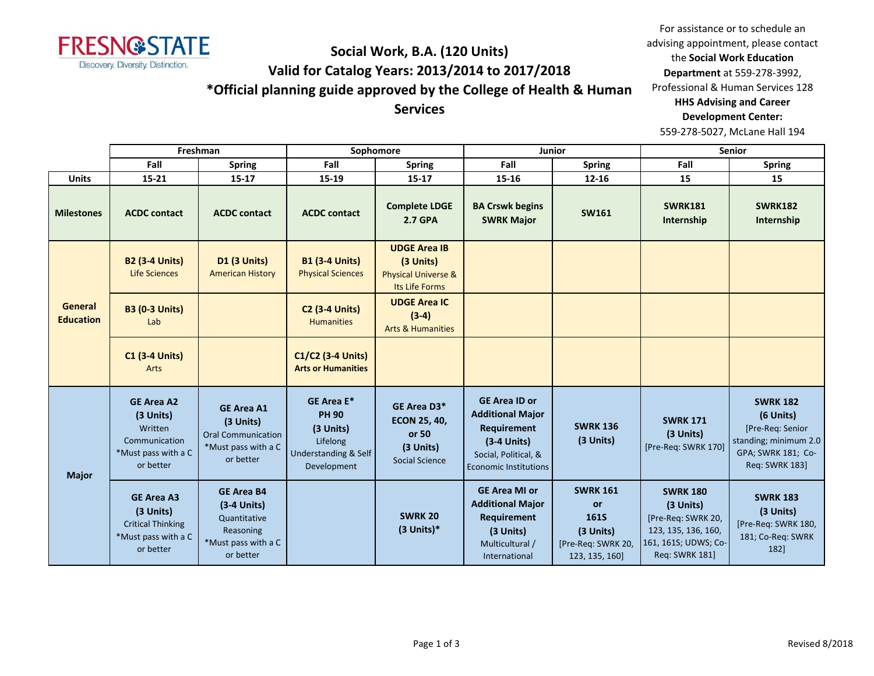

## **Social Work, B.A. (120 Units) Valid for Catalog Years: 2013/2014 to 2017/2018 \*Official planning guide approved by the College of Health & Human**

**Services**

For assistance or to schedule an advising appointment, please contact the **Social Work Education Department** at 559-278-3992, Professional & Human Services 128 **HHS Advising and Career Development Center:**  559-278-5027, McLane Hall 194

|                             |                                                                                                | Freshman                                                                                            |                                                                                                   | Sophomore                                                                            |                                                                                                                                         | Junior                                                                                    |                                                                                                                            | <b>Senior</b>                                                                                                            |
|-----------------------------|------------------------------------------------------------------------------------------------|-----------------------------------------------------------------------------------------------------|---------------------------------------------------------------------------------------------------|--------------------------------------------------------------------------------------|-----------------------------------------------------------------------------------------------------------------------------------------|-------------------------------------------------------------------------------------------|----------------------------------------------------------------------------------------------------------------------------|--------------------------------------------------------------------------------------------------------------------------|
|                             | Fall                                                                                           | <b>Spring</b>                                                                                       | Fall                                                                                              | <b>Spring</b>                                                                        | Fall                                                                                                                                    | <b>Spring</b>                                                                             | Fall                                                                                                                       | <b>Spring</b>                                                                                                            |
| <b>Units</b>                | 15-21                                                                                          | $15 - 17$                                                                                           | 15-19                                                                                             | $15 - 17$                                                                            | 15-16                                                                                                                                   | $12 - 16$                                                                                 | 15                                                                                                                         | 15                                                                                                                       |
| <b>Milestones</b>           | <b>ACDC</b> contact                                                                            | <b>ACDC</b> contact                                                                                 | <b>ACDC</b> contact                                                                               | <b>Complete LDGE</b><br><b>2.7 GPA</b>                                               | <b>BA Crswk begins</b><br><b>SWRK Major</b>                                                                                             | <b>SW161</b>                                                                              | <b>SWRK181</b><br>Internship                                                                                               | <b>SWRK182</b><br>Internship                                                                                             |
|                             | <b>B2 (3-4 Units)</b><br><b>Life Sciences</b>                                                  | <b>D1 (3 Units)</b><br><b>American History</b>                                                      | <b>B1 (3-4 Units)</b><br><b>Physical Sciences</b>                                                 | <b>UDGE Area IB</b><br>(3 Units)<br><b>Physical Universe &amp;</b><br>Its Life Forms |                                                                                                                                         |                                                                                           |                                                                                                                            |                                                                                                                          |
| General<br><b>Education</b> | <b>B3 (0-3 Units)</b><br>Lab                                                                   |                                                                                                     | <b>C2 (3-4 Units)</b><br><b>Humanities</b>                                                        | <b>UDGE Area IC</b><br>$(3-4)$<br><b>Arts &amp; Humanities</b>                       |                                                                                                                                         |                                                                                           |                                                                                                                            |                                                                                                                          |
|                             | <b>C1 (3-4 Units)</b><br>Arts                                                                  |                                                                                                     | C1/C2 (3-4 Units)<br><b>Arts or Humanities</b>                                                    |                                                                                      |                                                                                                                                         |                                                                                           |                                                                                                                            |                                                                                                                          |
| <b>Major</b>                | <b>GE Area A2</b><br>(3 Units)<br>Written<br>Communication<br>*Must pass with a C<br>or better | <b>GE Area A1</b><br>(3 Units)<br><b>Oral Communication</b><br>*Must pass with a C<br>or better     | <b>GE Area E*</b><br><b>PH 90</b><br>(3 Units)<br>Lifelong<br>Understanding & Self<br>Development | GE Area D3*<br><b>ECON 25, 40,</b><br>or 50<br>(3 Units)<br><b>Social Science</b>    | <b>GE Area ID or</b><br><b>Additional Major</b><br>Requirement<br>$(3-4$ Units)<br>Social, Political, &<br><b>Economic Institutions</b> | <b>SWRK 136</b><br>(3 Units)                                                              | <b>SWRK 171</b><br>(3 Units)<br>[Pre-Req: SWRK 170]                                                                        | <b>SWRK 182</b><br>(6 Units)<br>[Pre-Req: Senior<br>standing; minimum 2.0<br>GPA; SWRK 181; Co-<br><b>Reg: SWRK 1831</b> |
|                             | <b>GE Area A3</b><br>(3 Units)<br><b>Critical Thinking</b><br>*Must pass with a C<br>or better | <b>GE Area B4</b><br>$(3-4$ Units)<br>Quantitative<br>Reasoning<br>*Must pass with a C<br>or better |                                                                                                   | <b>SWRK 20</b><br>$(3$ Units)*                                                       | <b>GE Area MI or</b><br><b>Additional Major</b><br><b>Requirement</b><br>(3 Units)<br>Multicultural /<br>International                  | <b>SWRK 161</b><br>or<br><b>161S</b><br>(3 Units)<br>[Pre-Req: SWRK 20,<br>123, 135, 160] | <b>SWRK 180</b><br>(3 Units)<br>[Pre-Req: SWRK 20,<br>123, 135, 136, 160,<br>161, 161S; UDWS; Co-<br><b>Req: SWRK 181]</b> | <b>SWRK 183</b><br>(3 Units)<br>[Pre-Req: SWRK 180,<br>181; Co-Req: SWRK<br>1821                                         |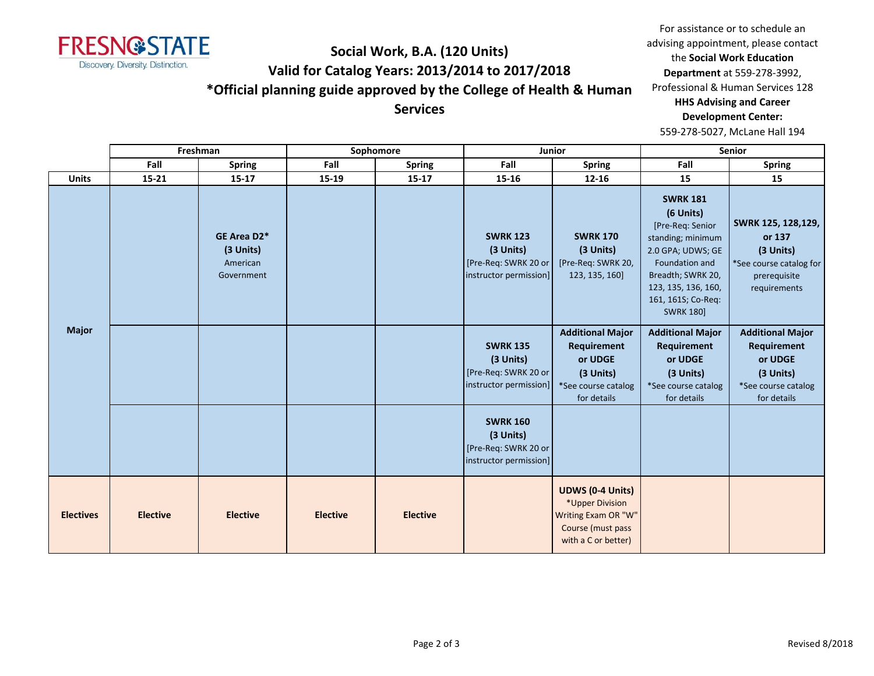

# **Social Work, B.A. (120 Units) Valid for Catalog Years: 2013/2014 to 2017/2018 \*Official planning guide approved by the College of Health & Human**

For assistance or to schedule an advising appointment, please contact the **Social Work Education Department** at 559-278-3992, Professional & Human Services 128 **HHS Advising and Career Development Center:**  559-278-5027, McLane Hall 194

**Services**

|                  | Freshman        |                                                    | Sophomore       |                 | Junior                                                                         |                                                                                                               | Senior                                                                                                                                                                                             |                                                                                                       |
|------------------|-----------------|----------------------------------------------------|-----------------|-----------------|--------------------------------------------------------------------------------|---------------------------------------------------------------------------------------------------------------|----------------------------------------------------------------------------------------------------------------------------------------------------------------------------------------------------|-------------------------------------------------------------------------------------------------------|
|                  | Fall            | <b>Spring</b>                                      | Fall            | <b>Spring</b>   | Fall                                                                           | <b>Spring</b>                                                                                                 | Fall                                                                                                                                                                                               | <b>Spring</b>                                                                                         |
| <b>Units</b>     | $15 - 21$       | $15 - 17$                                          | 15-19           | $15 - 17$       | 15-16                                                                          | $12 - 16$                                                                                                     | 15                                                                                                                                                                                                 | 15                                                                                                    |
| <b>Major</b>     |                 | GE Area D2*<br>(3 Units)<br>American<br>Government |                 |                 | <b>SWRK 123</b><br>(3 Units)<br>[Pre-Req: SWRK 20 or<br>instructor permission] | <b>SWRK 170</b><br>(3 Units)<br>[Pre-Req: SWRK 20,<br>123, 135, 160]                                          | <b>SWRK 181</b><br>(6 Units)<br>[Pre-Req: Senior<br>standing; minimum<br>2.0 GPA; UDWS; GE<br>Foundation and<br>Breadth; SWRK 20,<br>123, 135, 136, 160,<br>161, 161S; Co-Req:<br><b>SWRK 180]</b> | SWRK 125, 128, 129,<br>or 137<br>(3 Units)<br>*See course catalog for<br>prerequisite<br>requirements |
|                  |                 |                                                    |                 |                 | <b>SWRK 135</b><br>(3 Units)<br>[Pre-Req: SWRK 20 or<br>instructor permission] | <b>Additional Major</b><br>Requirement<br>or UDGE<br>(3 Units)<br>*See course catalog<br>for details          | <b>Additional Major</b><br>Requirement<br>or UDGE<br>(3 Units)<br>*See course catalog<br>for details                                                                                               | <b>Additional Major</b><br>Requirement<br>or UDGE<br>(3 Units)<br>*See course catalog<br>for details  |
|                  |                 |                                                    |                 |                 | <b>SWRK 160</b><br>(3 Units)<br>[Pre-Req: SWRK 20 or<br>instructor permission] |                                                                                                               |                                                                                                                                                                                                    |                                                                                                       |
| <b>Electives</b> | <b>Elective</b> | <b>Elective</b>                                    | <b>Elective</b> | <b>Elective</b> |                                                                                | <b>UDWS (0-4 Units)</b><br>*Upper Division<br>Writing Exam OR "W"<br>Course (must pass<br>with a C or better) |                                                                                                                                                                                                    |                                                                                                       |